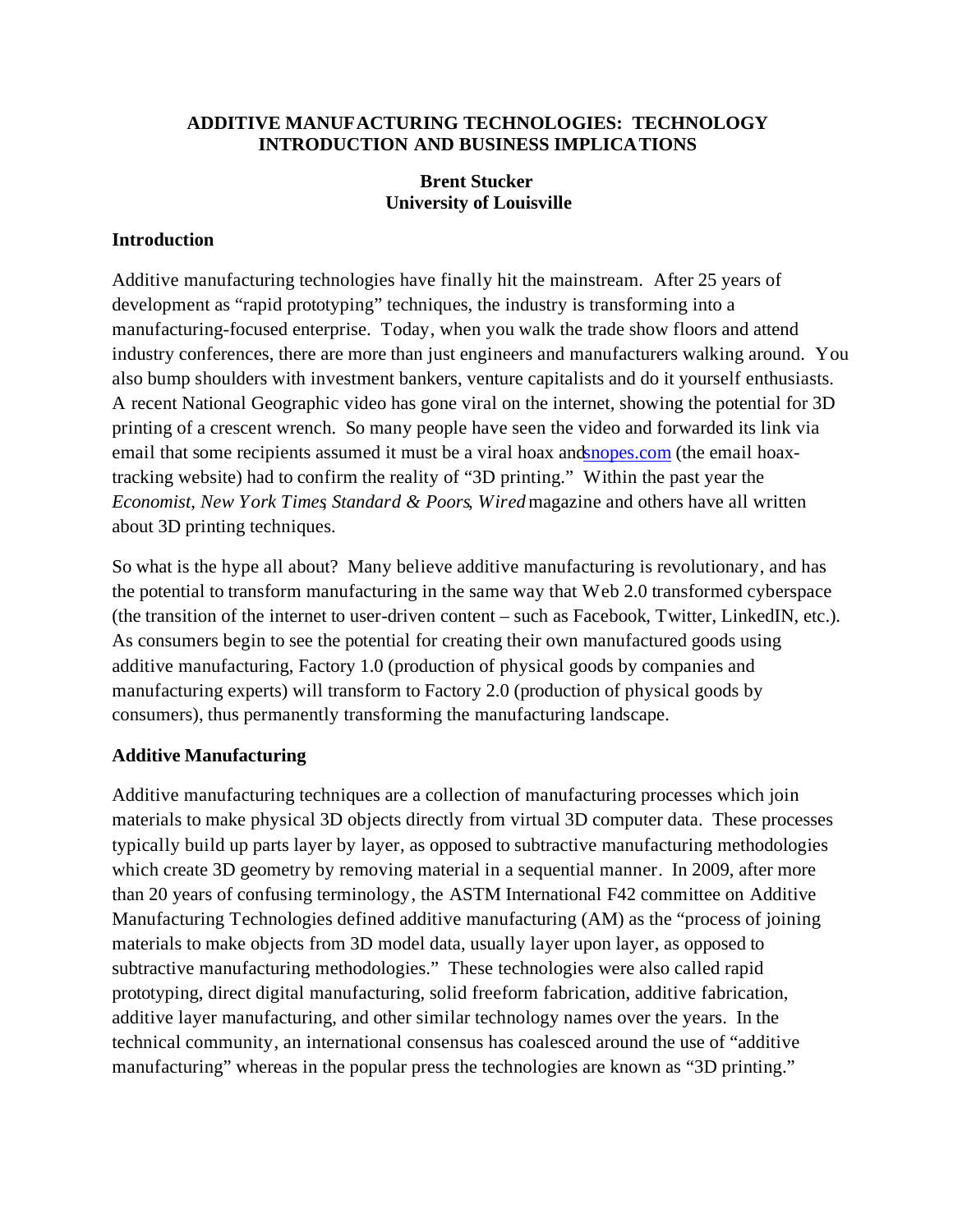#### **ADDITIVE MANUFACTURING TECHNOLOGIES: TECHNOLOGY INTRODUCTION AND BUSINESS IMPLICATIONS**

### **Brent Stucker University of Louisville**

### **Introduction**

Additive manufacturing technologies have finally hit the mainstream. After 25 years of development as "rapid prototyping" techniques, the industry is transforming into a manufacturing-focused enterprise. Today, when you walk the trade show floors and attend industry conferences, there are more than just engineers and manufacturers walking around. You also bump shoulders with investment bankers, venture capitalists and do it yourself enthusiasts. A recent National Geographic video has gone viral on the internet, showing the potential for 3D printing of a crescent wrench. So many people have seen the video and forwarded its link via email that some recipients assumed it must be a viral hoax and snopes.com (the email hoaxtracking website) had to confirm the reality of "3D printing." Within the past year the *Economist*, *New York Times*, *Standard & Poors*, *Wired*magazine and others have all written about 3D printing techniques.

So what is the hype all about? Many believe additive manufacturing is revolutionary, and has the potential to transform manufacturing in the same way that Web 2.0 transformed cyberspace (the transition of the internet to user-driven content – such as Facebook, Twitter, LinkedIN, etc.). As consumers begin to see the potential for creating their own manufactured goods using additive manufacturing, Factory 1.0 (production of physical goods by companies and manufacturing experts) will transform to Factory 2.0 (production of physical goods by consumers), thus permanently transforming the manufacturing landscape.

### **Additive Manufacturing**

Additive manufacturing techniques are a collection of manufacturing processes which join materials to make physical 3D objects directly from virtual 3D computer data. These processes typically build up parts layer by layer, as opposed to subtractive manufacturing methodologies which create 3D geometry by removing material in a sequential manner. In 2009, after more than 20 years of confusing terminology, the ASTM International F42 committee on Additive Manufacturing Technologies defined additive manufacturing (AM) as the "process of joining materials to make objects from 3D model data, usually layer upon layer, as opposed to subtractive manufacturing methodologies." These technologies were also called rapid prototyping, direct digital manufacturing, solid freeform fabrication, additive fabrication, additive layer manufacturing, and other similar technology names over the years. In the technical community, an international consensus has coalesced around the use of "additive manufacturing" whereas in the popular press the technologies are known as "3D printing."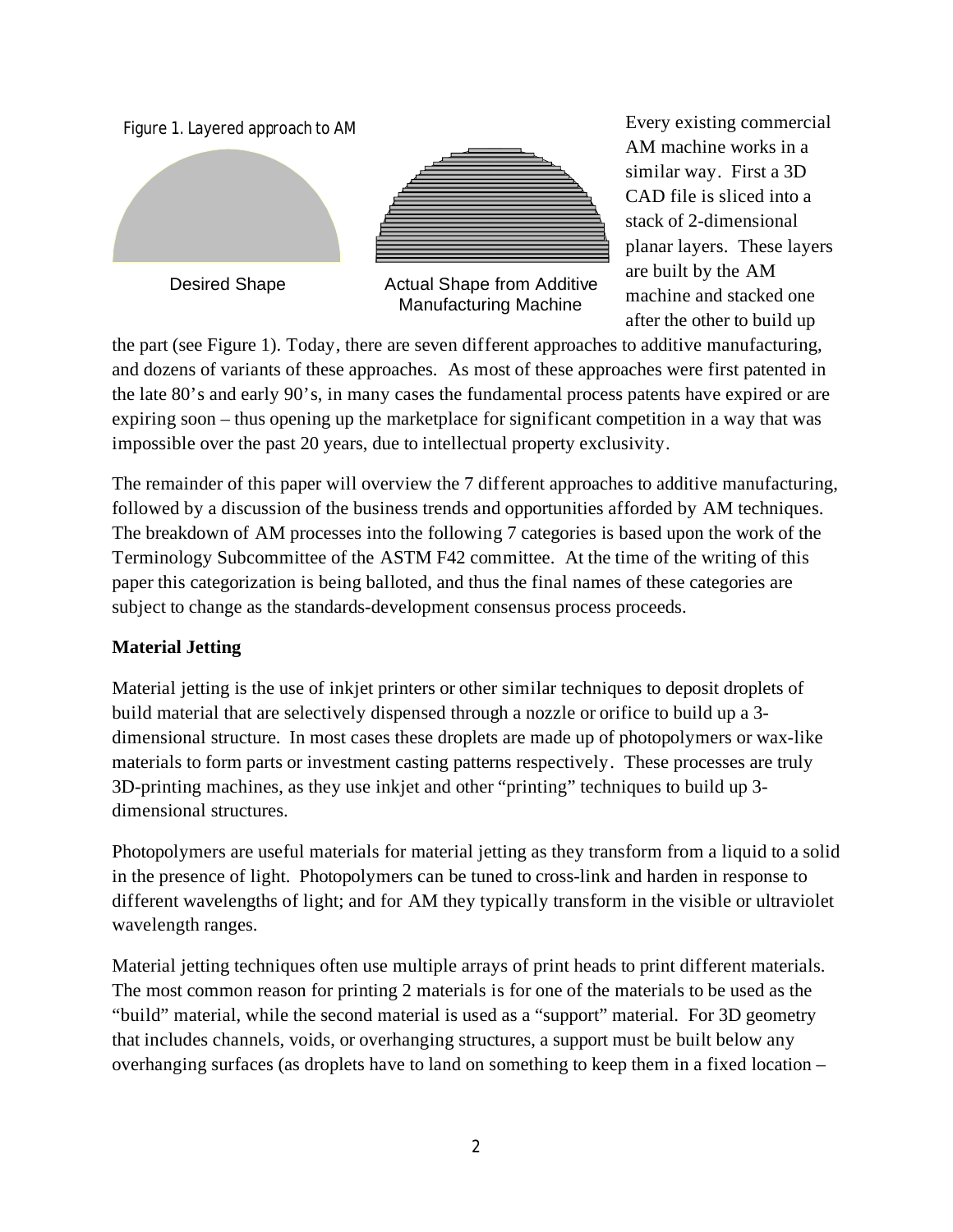

Every existing commercial AM machine works in a similar way. First a 3D CAD file is sliced into a stack of 2-dimensional planar layers. These layers are built by the AM machine and stacked one after the other to build up

the part (see Figure 1). Today, there are seven different approaches to additive manufacturing, and dozens of variants of these approaches. As most of these approaches were first patented in the late 80's and early 90's, in many cases the fundamental process patents have expired or are expiring soon – thus opening up the marketplace for significant competition in a way that was impossible over the past 20 years, due to intellectual property exclusivity.

The remainder of this paper will overview the 7 different approaches to additive manufacturing, followed by a discussion of the business trends and opportunities afforded by AM techniques. The breakdown of AM processes into the following 7 categories is based upon the work of the Terminology Subcommittee of the ASTM F42 committee. At the time of the writing of this paper this categorization is being balloted, and thus the final names of these categories are subject to change as the standards-development consensus process proceeds.

### **Material Jetting**

Material jetting is the use of inkjet printers or other similar techniques to deposit droplets of build material that are selectively dispensed through a nozzle or orifice to build up a 3 dimensional structure. In most cases these droplets are made up of photopolymers or wax-like materials to form parts or investment casting patterns respectively. These processes are truly 3D-printing machines, as they use inkjet and other "printing" techniques to build up 3 dimensional structures.

Photopolymers are useful materials for material jetting as they transform from a liquid to a solid in the presence of light. Photopolymers can be tuned to cross-link and harden in response to different wavelengths of light; and for AM they typically transform in the visible or ultraviolet wavelength ranges.

Material jetting techniques often use multiple arrays of print heads to print different materials. The most common reason for printing 2 materials is for one of the materials to be used as the "build" material, while the second material is used as a "support" material. For 3D geometry that includes channels, voids, or overhanging structures, a support must be built below any overhanging surfaces (as droplets have to land on something to keep them in a fixed location –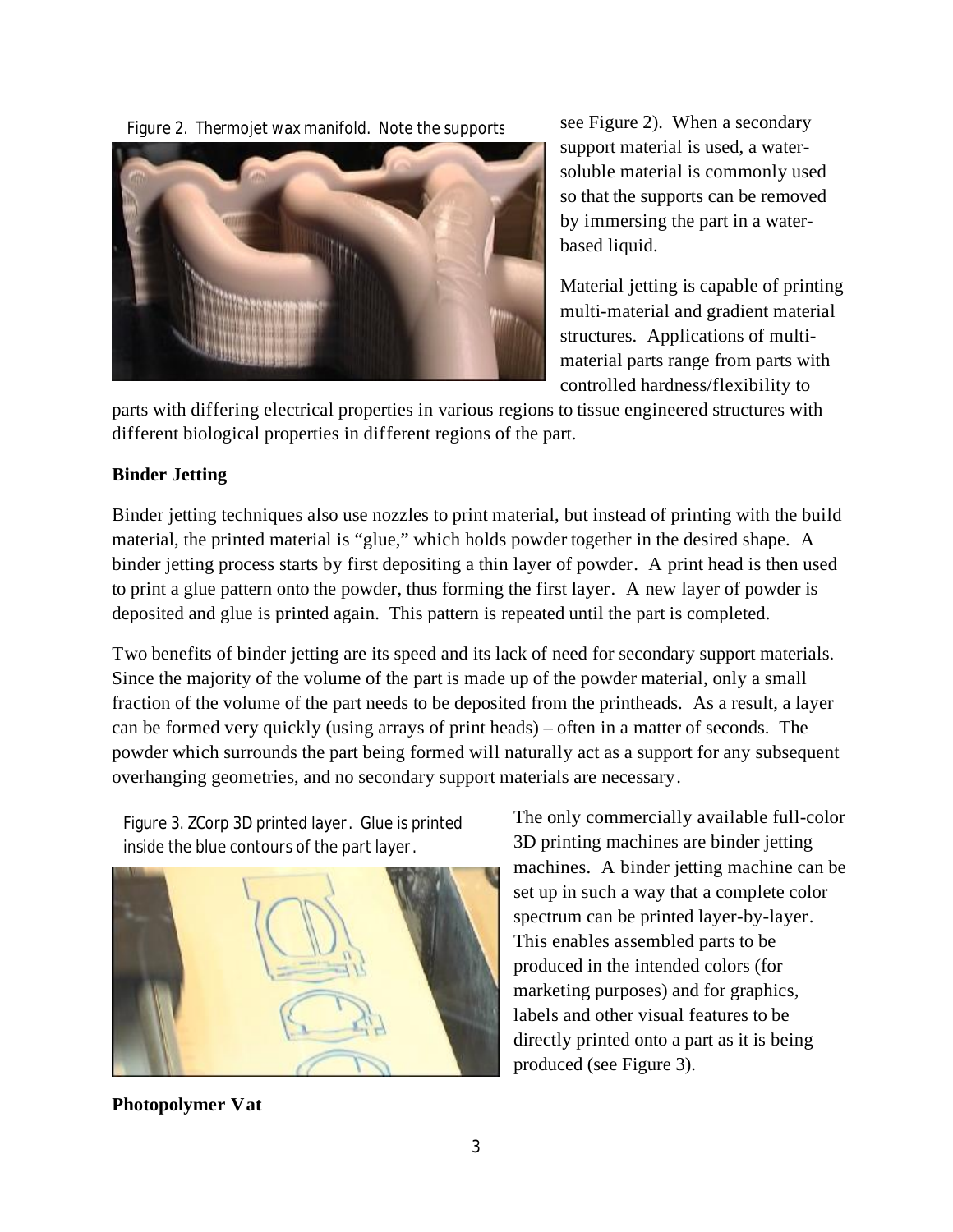Figure 2. Thermojet wax manifold. Note the supports



see Figure 2). When a secondary support material is used, a watersoluble material is commonly used so that the supports can be removed by immersing the part in a waterbased liquid.

Material jetting is capable of printing multi-material and gradient material structures. Applications of multimaterial parts range from parts with controlled hardness/flexibility to

parts with differing electrical properties in various regions to tissue engineered structures with different biological properties in different regions of the part.

### **Binder Jetting**

Binder jetting techniques also use nozzles to print material, but instead of printing with the build material, the printed material is "glue," which holds powder together in the desired shape. A binder jetting process starts by first depositing a thin layer of powder. A print head is then used to print a glue pattern onto the powder, thus forming the first layer. A new layer of powder is deposited and glue is printed again. This pattern is repeated until the part is completed.

Two benefits of binder jetting are its speed and its lack of need for secondary support materials. Since the majority of the volume of the part is made up of the powder material, only a small fraction of the volume of the part needs to be deposited from the printheads. As a result, a layer can be formed very quickly (using arrays of print heads) – often in a matter of seconds. The powder which surrounds the part being formed will naturally act as a support for any subsequent overhanging geometries, and no secondary support materials are necessary.

Figure 3. ZCorp 3D printed layer. Glue is printed inside the blue contours of the part layer.



The only commercially available full-color 3D printing machines are binder jetting machines. A binder jetting machine can be set up in such a way that a complete color spectrum can be printed layer-by-layer. This enables assembled parts to be produced in the intended colors (for marketing purposes) and for graphics, labels and other visual features to be directly printed onto a part as it is being produced (see Figure 3).

## **Photopolymer Vat**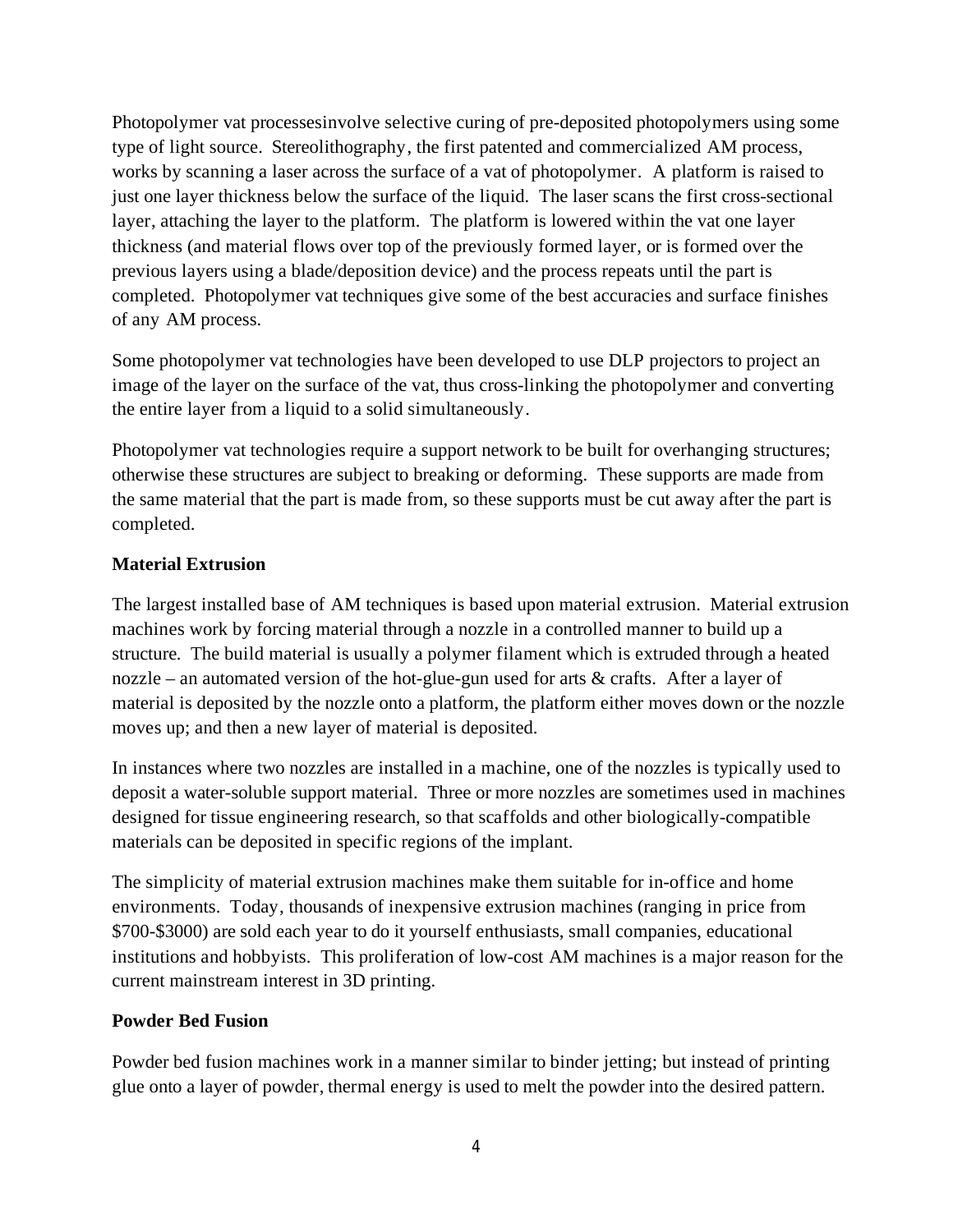Photopolymer vat processesinvolve selective curing of pre-deposited photopolymers using some type of light source. Stereolithography, the first patented and commercialized AM process, works by scanning a laser across the surface of a vat of photopolymer. A platform is raised to just one layer thickness below the surface of the liquid. The laser scans the first cross-sectional layer, attaching the layer to the platform. The platform is lowered within the vat one layer thickness (and material flows over top of the previously formed layer, or is formed over the previous layers using a blade/deposition device) and the process repeats until the part is completed. Photopolymer vat techniques give some of the best accuracies and surface finishes of any AM process.

Some photopolymer vat technologies have been developed to use DLP projectors to project an image of the layer on the surface of the vat, thus cross-linking the photopolymer and converting the entire layer from a liquid to a solid simultaneously.

Photopolymer vat technologies require a support network to be built for overhanging structures; otherwise these structures are subject to breaking or deforming. These supports are made from the same material that the part is made from, so these supports must be cut away after the part is completed.

## **Material Extrusion**

The largest installed base of AM techniques is based upon material extrusion. Material extrusion machines work by forcing material through a nozzle in a controlled manner to build up a structure. The build material is usually a polymer filament which is extruded through a heated nozzle – an automated version of the hot-glue-gun used for arts & crafts. After a layer of material is deposited by the nozzle onto a platform, the platform either moves down or the nozzle moves up; and then a new layer of material is deposited.

In instances where two nozzles are installed in a machine, one of the nozzles is typically used to deposit a water-soluble support material. Three or more nozzles are sometimes used in machines designed for tissue engineering research, so that scaffolds and other biologically-compatible materials can be deposited in specific regions of the implant.

The simplicity of material extrusion machines make them suitable for in-office and home environments. Today, thousands of inexpensive extrusion machines (ranging in price from \$700-\$3000) are sold each year to do it yourself enthusiasts, small companies, educational institutions and hobbyists. This proliferation of low-cost AM machines is a major reason for the current mainstream interest in 3D printing.

### **Powder Bed Fusion**

Powder bed fusion machines work in a manner similar to binder jetting; but instead of printing glue onto a layer of powder, thermal energy is used to melt the powder into the desired pattern.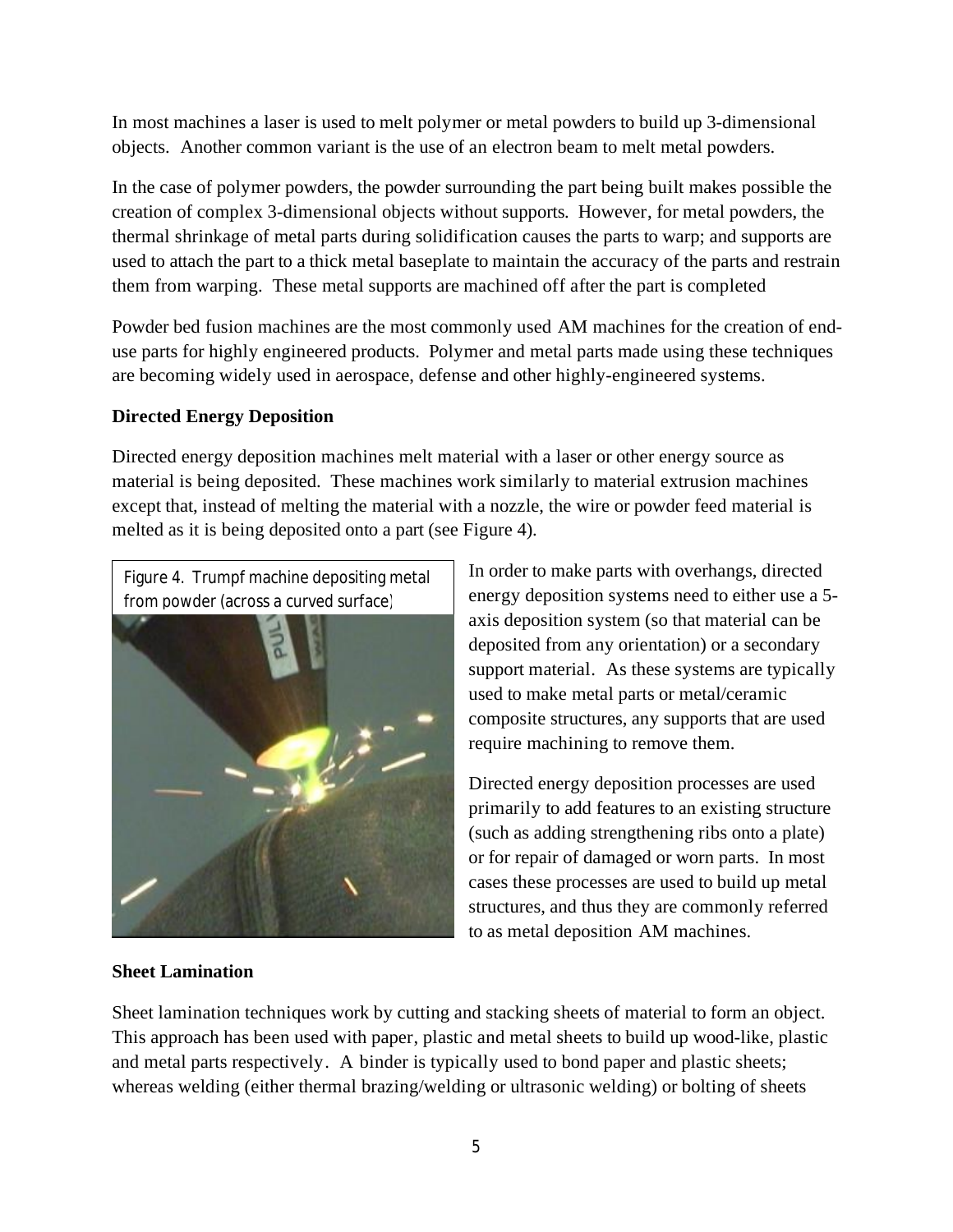In most machines a laser is used to melt polymer or metal powders to build up 3-dimensional objects. Another common variant is the use of an electron beam to melt metal powders.

In the case of polymer powders, the powder surrounding the part being built makes possible the creation of complex 3-dimensional objects without supports. However, for metal powders, the thermal shrinkage of metal parts during solidification causes the parts to warp; and supports are used to attach the part to a thick metal baseplate to maintain the accuracy of the parts and restrain them from warping. These metal supports are machined off after the part is completed

Powder bed fusion machines are the most commonly used AM machines for the creation of enduse parts for highly engineered products. Polymer and metal parts made using these techniques are becoming widely used in aerospace, defense and other highly-engineered systems.

## **Directed Energy Deposition**

Directed energy deposition machines melt material with a laser or other energy source as material is being deposited. These machines work similarly to material extrusion machines except that, instead of melting the material with a nozzle, the wire or powder feed material is melted as it is being deposited onto a part (see Figure 4).



In order to make parts with overhangs, directed energy deposition systems need to either use a 5 axis deposition system (so that material can be deposited from any orientation) or a secondary support material. As these systems are typically used to make metal parts or metal/ceramic composite structures, any supports that are used require machining to remove them.

Directed energy deposition processes are used primarily to add features to an existing structure (such as adding strengthening ribs onto a plate) or for repair of damaged or worn parts. In most cases these processes are used to build up metal structures, and thus they are commonly referred to as metal deposition AM machines.

## **Sheet Lamination**

Sheet lamination techniques work by cutting and stacking sheets of material to form an object. This approach has been used with paper, plastic and metal sheets to build up wood-like, plastic and metal parts respectively. A binder is typically used to bond paper and plastic sheets; whereas welding (either thermal brazing/welding or ultrasonic welding) or bolting of sheets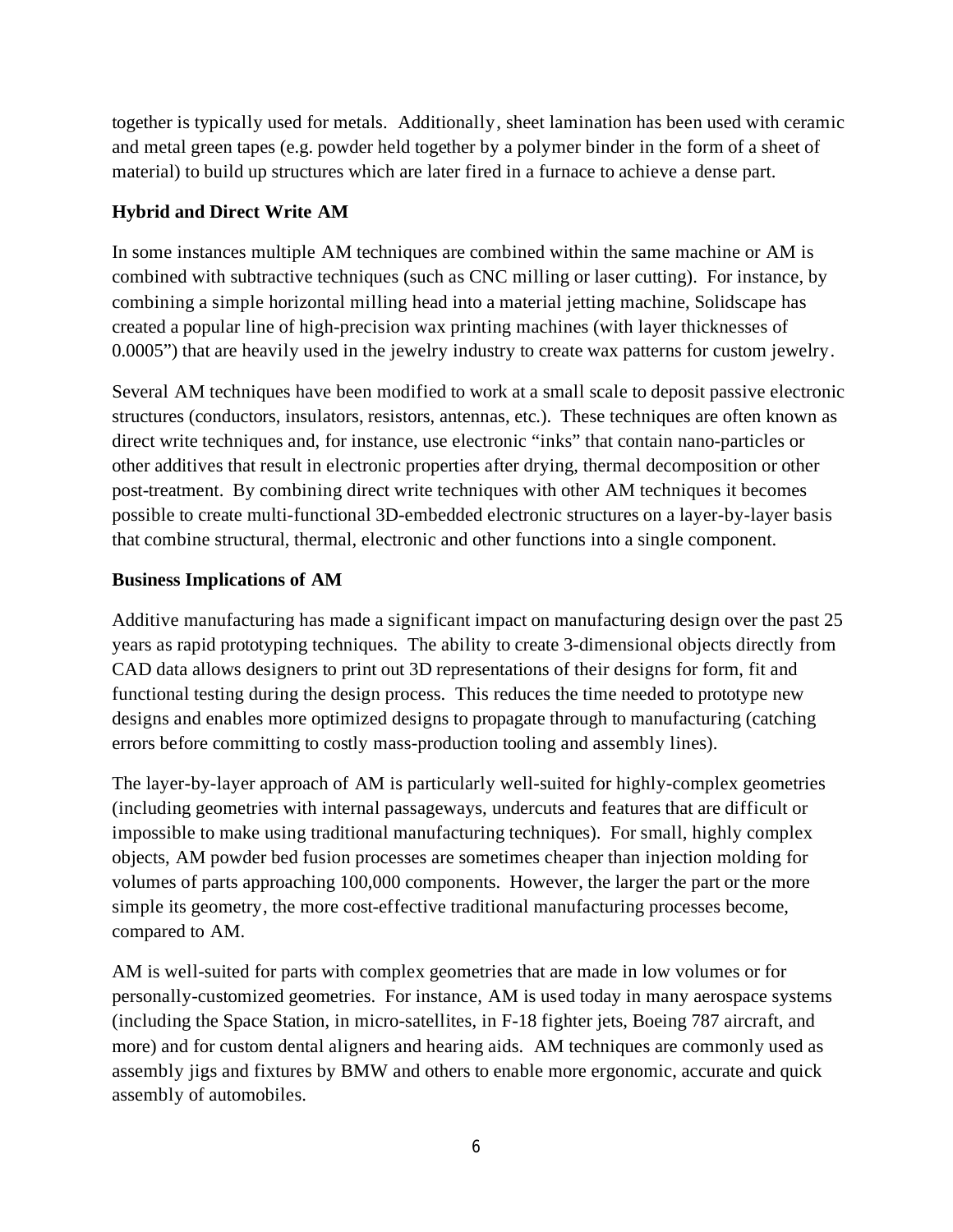together is typically used for metals. Additionally, sheet lamination has been used with ceramic and metal green tapes (e.g. powder held together by a polymer binder in the form of a sheet of material) to build up structures which are later fired in a furnace to achieve a dense part.

# **Hybrid and Direct Write AM**

In some instances multiple AM techniques are combined within the same machine or AM is combined with subtractive techniques (such as CNC milling or laser cutting). For instance, by combining a simple horizontal milling head into a material jetting machine, Solidscape has created a popular line of high-precision wax printing machines (with layer thicknesses of 0.0005") that are heavily used in the jewelry industry to create wax patterns for custom jewelry.

Several AM techniques have been modified to work at a small scale to deposit passive electronic structures (conductors, insulators, resistors, antennas, etc.). These techniques are often known as direct write techniques and, for instance, use electronic "inks" that contain nano-particles or other additives that result in electronic properties after drying, thermal decomposition or other post-treatment. By combining direct write techniques with other AM techniques it becomes possible to create multi-functional 3D-embedded electronic structures on a layer-by-layer basis that combine structural, thermal, electronic and other functions into a single component.

## **Business Implications of AM**

Additive manufacturing has made a significant impact on manufacturing design over the past 25 years as rapid prototyping techniques. The ability to create 3-dimensional objects directly from CAD data allows designers to print out 3D representations of their designs for form, fit and functional testing during the design process. This reduces the time needed to prototype new designs and enables more optimized designs to propagate through to manufacturing (catching errors before committing to costly mass-production tooling and assembly lines).

The layer-by-layer approach of AM is particularly well-suited for highly-complex geometries (including geometries with internal passageways, undercuts and features that are difficult or impossible to make using traditional manufacturing techniques). For small, highly complex objects, AM powder bed fusion processes are sometimes cheaper than injection molding for volumes of parts approaching 100,000 components. However, the larger the part or the more simple its geometry, the more cost-effective traditional manufacturing processes become, compared to AM.

AM is well-suited for parts with complex geometries that are made in low volumes or for personally-customized geometries. For instance, AM is used today in many aerospace systems (including the Space Station, in micro-satellites, in F-18 fighter jets, Boeing 787 aircraft, and more) and for custom dental aligners and hearing aids. AM techniques are commonly used as assembly jigs and fixtures by BMW and others to enable more ergonomic, accurate and quick assembly of automobiles.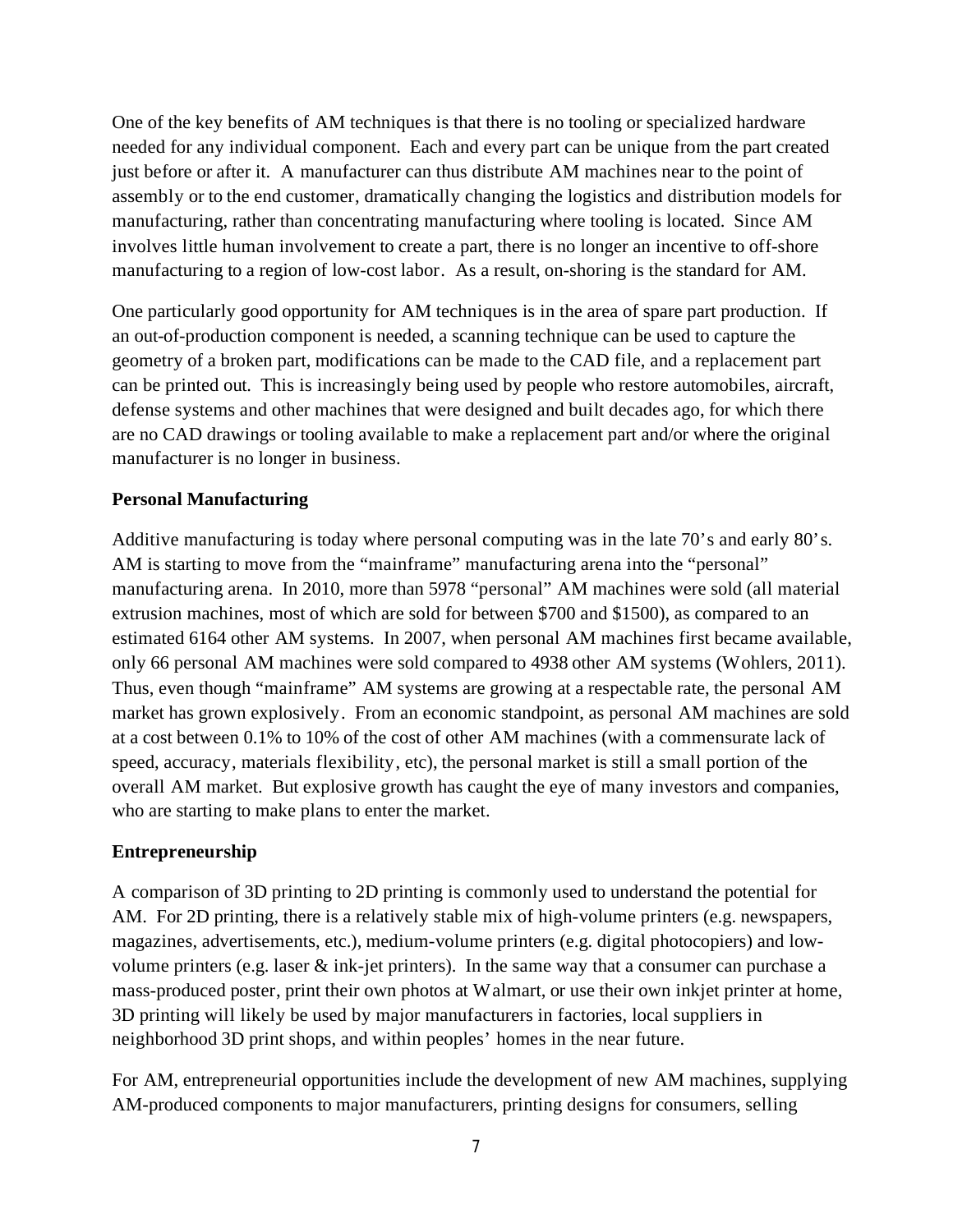One of the key benefits of AM techniques is that there is no tooling or specialized hardware needed for any individual component. Each and every part can be unique from the part created just before or after it. A manufacturer can thus distribute AM machines near to the point of assembly or to the end customer, dramatically changing the logistics and distribution models for manufacturing, rather than concentrating manufacturing where tooling is located. Since AM involves little human involvement to create a part, there is no longer an incentive to off-shore manufacturing to a region of low-cost labor. As a result, on-shoring is the standard for AM.

One particularly good opportunity for AM techniques is in the area of spare part production. If an out-of-production component is needed, a scanning technique can be used to capture the geometry of a broken part, modifications can be made to the CAD file, and a replacement part can be printed out. This is increasingly being used by people who restore automobiles, aircraft, defense systems and other machines that were designed and built decades ago, for which there are no CAD drawings or tooling available to make a replacement part and/or where the original manufacturer is no longer in business.

### **Personal Manufacturing**

Additive manufacturing is today where personal computing was in the late 70's and early 80's. AM is starting to move from the "mainframe" manufacturing arena into the "personal" manufacturing arena. In 2010, more than 5978 "personal" AM machines were sold (all material extrusion machines, most of which are sold for between \$700 and \$1500), as compared to an estimated 6164 other AM systems. In 2007, when personal AM machines first became available, only 66 personal AM machines were sold compared to 4938 other AM systems (Wohlers, 2011). Thus, even though "mainframe" AM systems are growing at a respectable rate, the personal AM market has grown explosively. From an economic standpoint, as personal AM machines are sold at a cost between 0.1% to 10% of the cost of other AM machines (with a commensurate lack of speed, accuracy, materials flexibility, etc), the personal market is still a small portion of the overall AM market. But explosive growth has caught the eye of many investors and companies, who are starting to make plans to enter the market.

### **Entrepreneurship**

A comparison of 3D printing to 2D printing is commonly used to understand the potential for AM. For 2D printing, there is a relatively stable mix of high-volume printers (e.g. newspapers, magazines, advertisements, etc.), medium-volume printers (e.g. digital photocopiers) and lowvolume printers (e.g. laser & ink-jet printers). In the same way that a consumer can purchase a mass-produced poster, print their own photos at Walmart, or use their own inkjet printer at home, 3D printing will likely be used by major manufacturers in factories, local suppliers in neighborhood 3D print shops, and within peoples' homes in the near future.

For AM, entrepreneurial opportunities include the development of new AM machines, supplying AM-produced components to major manufacturers, printing designs for consumers, selling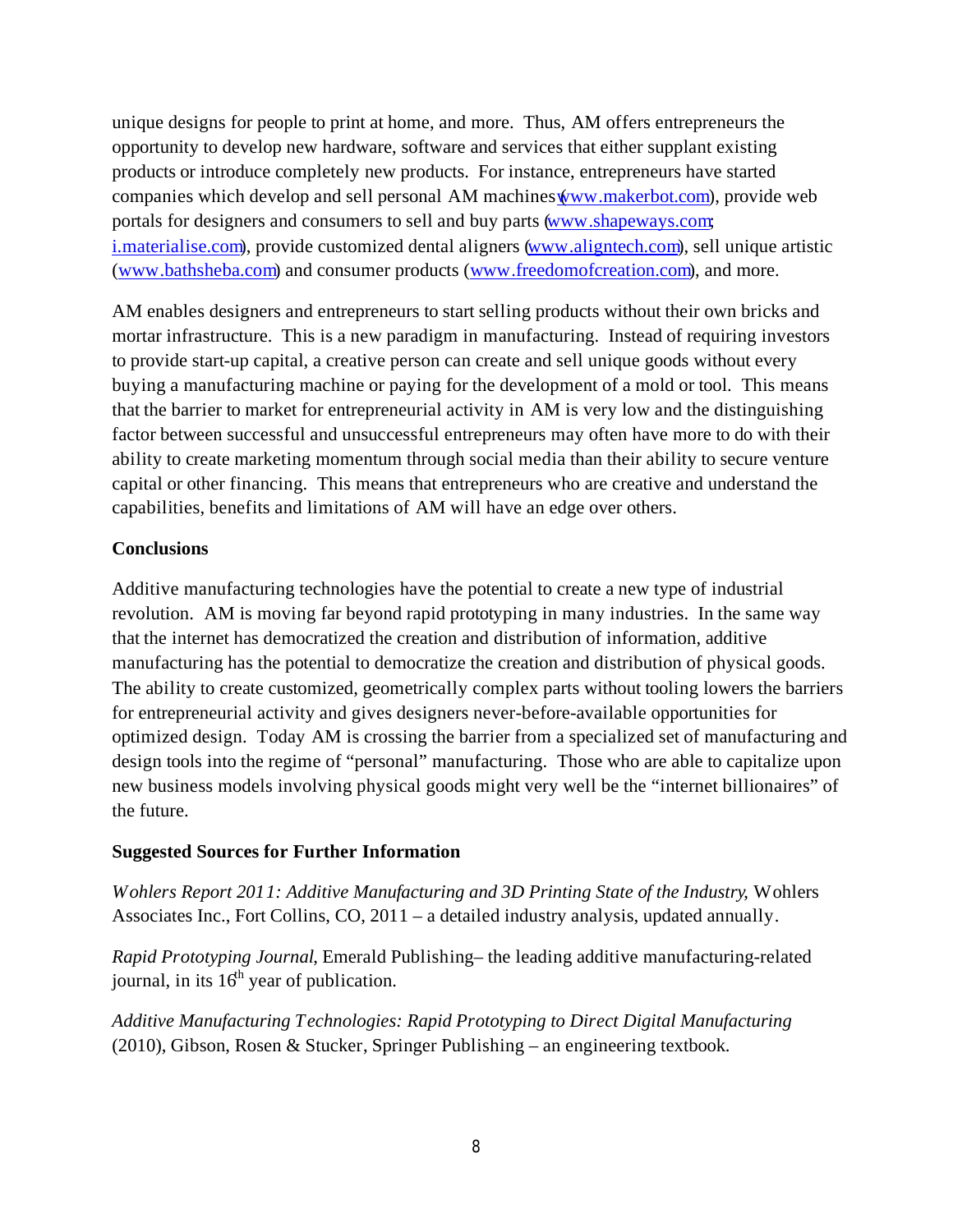unique designs for people to print at home, and more. Thus, AM offers entrepreneurs the opportunity to develop new hardware, software and services that either supplant existing products or introduce completely new products. For instance, entrepreneurs have started companies which develop and sell personal AM machines [\(www.makerbot.com\)](http://www.makerbot.com), provide web portals for designers and consumers to sell and buy parts [\(www.shapeways.com](http://www.shapeways.com); i.materialise.com), provide customized dental aligners [\(www.aligntech.com\)](http://www.aligntech.com), sell unique artistic ([www.bathsheba.com](http://www.bathsheba.com)) and consumer products ([www.freedomofcreation.com\)](http://www.freedomofcreation.com), and more.

AM enables designers and entrepreneurs to start selling products without their own bricks and mortar infrastructure. This is a new paradigm in manufacturing. Instead of requiring investors to provide start-up capital, a creative person can create and sell unique goods without every buying a manufacturing machine or paying for the development of a mold or tool. This means that the barrier to market for entrepreneurial activity in AM is very low and the distinguishing factor between successful and unsuccessful entrepreneurs may often have more to do with their ability to create marketing momentum through social media than their ability to secure venture capital or other financing. This means that entrepreneurs who are creative and understand the capabilities, benefits and limitations of AM will have an edge over others.

## **Conclusions**

Additive manufacturing technologies have the potential to create a new type of industrial revolution. AM is moving far beyond rapid prototyping in many industries. In the same way that the internet has democratized the creation and distribution of information, additive manufacturing has the potential to democratize the creation and distribution of physical goods. The ability to create customized, geometrically complex parts without tooling lowers the barriers for entrepreneurial activity and gives designers never-before-available opportunities for optimized design. Today AM is crossing the barrier from a specialized set of manufacturing and design tools into the regime of "personal" manufacturing. Those who are able to capitalize upon new business models involving physical goods might very well be the "internet billionaires" of the future.

### **Suggested Sources for Further Information**

*Wohlers Report 2011: Additive Manufacturing and 3D Printing State of the Industry*, Wohlers Associates Inc., Fort Collins, CO, 2011 – a detailed industry analysis, updated annually.

*Rapid Prototyping Journal*, Emerald Publishing– the leading additive manufacturing-related journal, in its 16<sup>th</sup> year of publication.

*Additive Manufacturing Technologies: Rapid Prototyping to Direct Digital Manufacturing* (2010), Gibson, Rosen & Stucker, Springer Publishing – an engineering textbook.